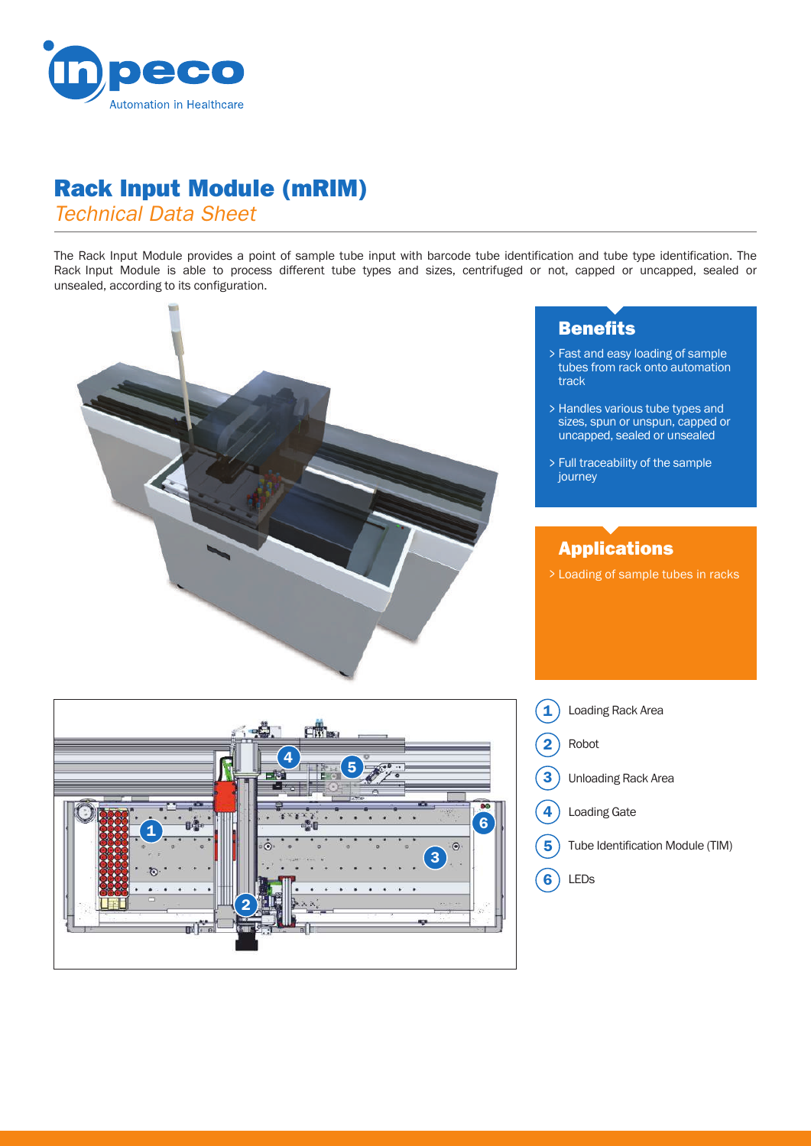

## Rack Input Module (mRIM)

*Technical Data Sheet*

The Rack Input Module provides a point of sample tube input with barcode tube identification and tube type identification. The Rack Input Module is able to process different tube types and sizes, centrifuged or not, capped or uncapped, sealed or unsealed, according to its configuration.